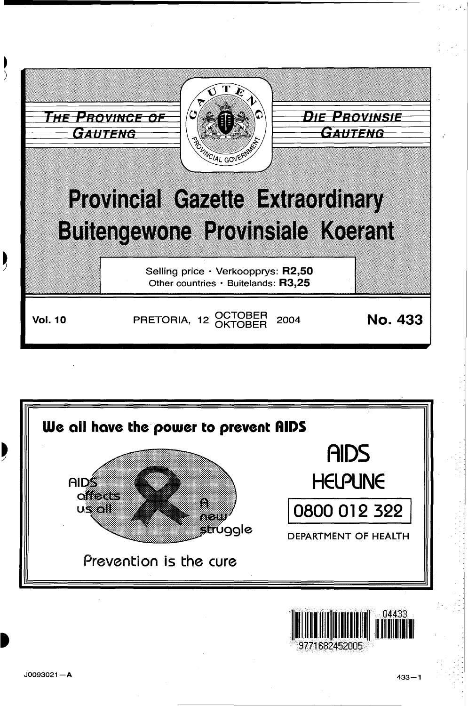



 $J0093021 - A$ 

977168245200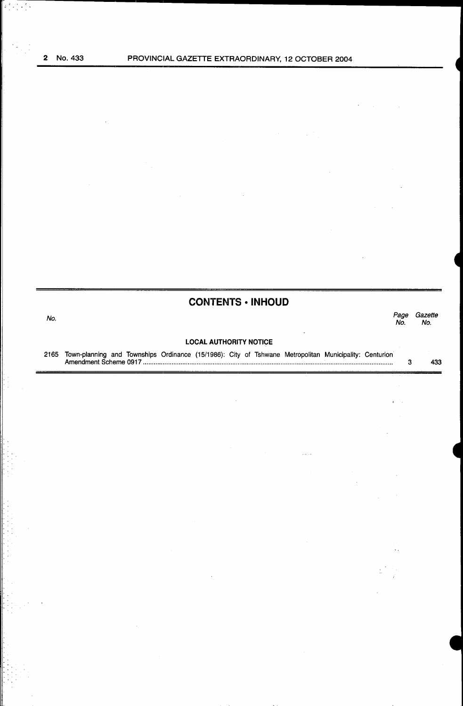## **CONTENTS • INHOUD**

No. Page Gazette No. No.

### LOCAL AUTHORITY NOTICE

2165 Town-planning and Townships Ordinance (15/1986): City of Tshwane Metropolitan Municipality: Centurion Amendment Scheme 0917 ........................................................................................................................................... . 3 433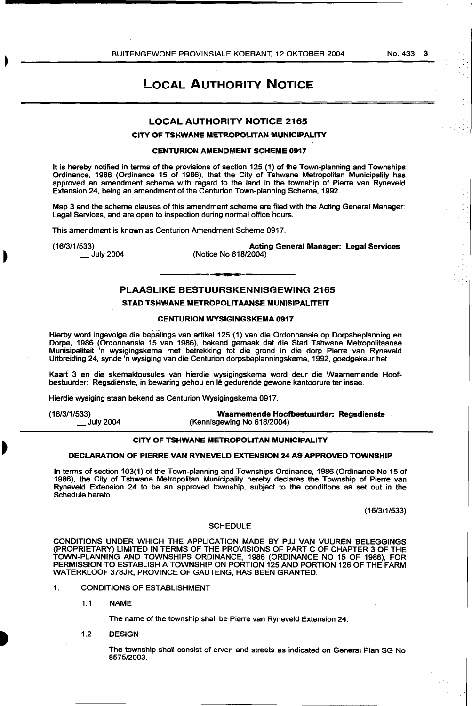No.433 3

# LOCAL AUTHORITY NOTICE

### LOCAL AUTHORITY NOTICE 2165

### CITY OF TSHWANE METROPOLITAN MUNICIPALITY

### CENTURION AMENDMENT SCHEME 0917

It is hereby notified in terms of the provisions of section 125 (1) of the Town-planning and Townships Ordinance, 1986 (Ordinance 15 of 1986), that the City of Tshwane Metropolitan Municipality has approved an amendment scheme with regard to the land in the township of Pierre van Ryneveld Extension 24, being an amendment of the Centurion Town-planning Scheme, 1992.

Map 3 and the scheme clauses of this amendment scheme are filed with the Acting General Manager: Legal Services, and are open to inspection during normal office hours.

This amendment is known as Centurion Amendment Scheme 0917.

(16/3/1/533)

\_July2004

Acting General Manager: Legal Services (Notice No 618/2004)

### PLAASLIKE BESTUURSKENNISGEWING 2165

### STAD TSHWANE METROPOLITAANSE MUNISIPALITEIT

### CENTURION WYSIGINGSKEMA 0917

Hierby word ingevolge die bepalings van artikel 125 (1) van die Ordonnansie op Dorpsbeplanning en Dorpe, 1986 (Ordonnansie 15 van 1986), bekend gemaak dat die Stad Tshwane Metropolitaanse Munisipaliteit 'n wysigingskema met betrekking tot die grond in die dorp Pierre van Ryneveld Uitbreiding 24, synde 'n wysiging van die Centurion dorpsbeplanningskema, 1992, goedgekeur het.

Kaart 3 en die skemaklousules van hierdie wysigingskema word deur die Waamemende Hoof- · bestuurder: Regsdienste, in bewaring gehou en le gedurende gewone kantoorure ter insae.

Hierdie wysiging staan bekend as Centurion Wysigingskema 0917.

( 16/3/1/533)

\_July2004

Waamemende Hoofbestuurder: Regsdienste (Kennisgewing No 618/2004)

### CITY OF TSHWANE METROPOLITAN MUNICIPALITY

### DECLARATION OF PIERRE VAN RYNEVELD EXTENSION 24 AS APPROVED TOWNSHIP

In terms of section 103(1) of the Town-planning and Townships Ordinance, 1986 (Ordinance No 15 of 1986), the City of Tshwane Metropolitan Municipality hereby declares the Township of Pierre van Ryneveld Extension 24 to be an approved township, subject to the conditions as set out in the Schedule hereto.

(16/3/1/533)

### **SCHEDULE**

CONDITIONS UNDER WHICH THE APPLICATION MADE BY PJJ VAN VUUREN BELEGGINGS (PROPRIETARY) LIMITED IN TERMS OF THE PROVISIONS OF PART C OF CHAPTER 3 OF THE TOWN-PLANNING AND TOWNSHIPS ORDINANCE, 1986 (ORDINANCE NO 15 OF 1986), FOR PERMISSION TO ESTABLISH A TOWNSHIP ON PORTION 125 AND PORTION 126 OF THE FARM WATERKLOOF 378JR, PROVINCE OF GAUTENG, HAS BEEN GRANTED.

- 1. CONDITIONS OF ESTABLISHMENT
	- 1.1 NAME

The name of the township shall be Pierre van Ryneveld Extension 24.

1.2 DESIGN

The township shall consist of erven and streets as indicated on General Plan SG No 8575/2003.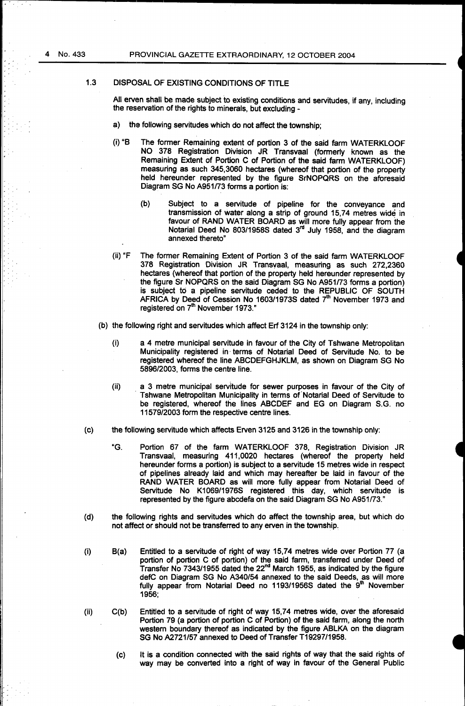#### 1.3 DISPOSAL OF EXISTING CONDITIONS OF TITLE

All erven shall be made subject to existing conditions and servitudes, if any, including the reservation of the rights to minerals, but excluding -

- a) the following servitudes which do not affect the township;
- (i) "8 The former Remaining extent of portion 3 of the said farm WATERKLOOF NO 378 Registration Division JR Transvaal (formerly known as the Remaining Extent of Portion C of Portion of the said farm WATERKLOOF) measuring as such 345,3060 hectares (whereof that portion of the property held hereunder represented by the figure SrNOPQRS on the aforesaid Diagram SG No A951/73 forms a portion is:
	- (b) Subject to a servitude of pipeline for the conveyance and transmission of water along a strip of ground 15,74 metres wide in favour of RAND WATER BOARD as will more fully appear from the Notarial Deed No 803/1958S dated 3<sup>rd</sup> July 1958, and the diagram annexed thereto"
- (ii) "F The former Remaining Extent of Portion 3 of the said farm WATERKLOOF 378 Registration Division JR Transvaal, measuring as such 272,2360 hectares (whereof that portion of the property held hereunder represented by the figure Sr NOPQRS on the said Diagram SG No A951/73 forms a portion) is subject to a pipeline servitude ceded to the REPUBLIC OF SOUTH AFRICA by Deed of Cession No 1603/1973S dated  $7<sup>th</sup>$  November 1973 and registered on 7<sup>th</sup> November 1973."
- (b) the following right and servitudes which affect Erf 3124 in the township only:
	- (i) a 4 metre municipal servitude in favour of the City of Tshwane Metropolitan Municipality registered in· terms of Notarial Deed of Servitude No. to be registered whereof the line ABCDEFGHJKLM, as shown on Diagram SG No 5896/2003, forms the centre line.
	- (ii) a 3 metre municipal servitude for sewer purposes in favour of the City of Tshwane Metropolitan Municipality in terms of Notarial Deed of Servitude to be registered, whereof the lines ABCDEF and EG on Diagram S.G. no 11579/2003 form the respective centre lines.
- (c) the following servitude which affects Erven 3125 and 3126 in the township only:
	- "G. Portion 67 of the farm WATERKLOOF 378, Registration Division JR Transvaal, measuring 411,0020 hectares (whereof the property held hereunder forms a portion) is subject to a servitude 15 metres wide in respect of pipelines already laid and which may hereafter be laid in favour of the RAND WATER BOARD as will more fully appear from Notarial Deed of Servitude No K1069/1976S registered this day, which servitude is represented by the figure abcdefa on the said Diagram SG No A951/73."
- (d) the following rights and servitudes which do affect the township area, but which do not affect or should not be transferred to any erven in the township,
- (i) B(a) Entitled to a servitude of right of way 15,74 metres wide over Portion 77 (a portion of portion C of portion) of the said farm, transferred under Deed of Transfer No 7343/1955 dated the  $22^{n\alpha}$  March 1955, as indicated by the figure defC on Diagram SG No A340/54 annexed to the said Deeds, as will more fully appear from Notarial Deed no 1193/1956S dated the 9<sup>th</sup> November 1956;
- (ii) C(b) Entitled to a servitude of right of way 15,74 metres wide, over the aforesaid Portion 79 (a portion of portion C of Portion) of the said farm, along the north western boundary thereof as indicated by the figure ABLKA on the diagram SG No A2721/57 annexed to Deed of Transfer T19297/1958.
	- (c) It is a condition connected with the said rights of way that the said rights of way may be converted into a right of way in favour of the General Public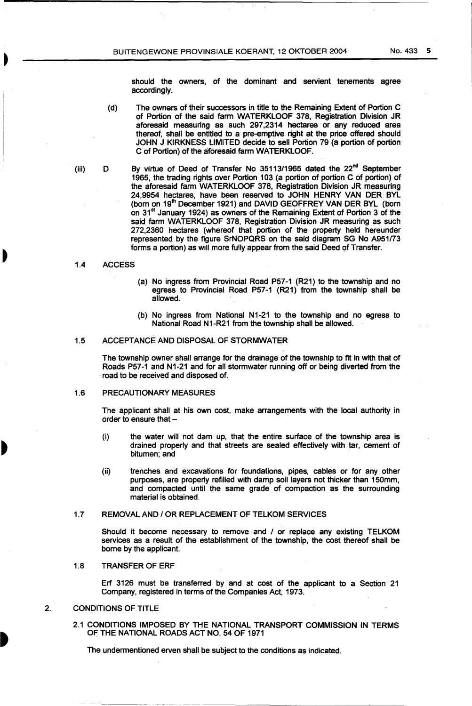should the owners, of the dominant and servient tenements agree accordingly.

- {d) The owners of their successors in title to the Remaining Extent of Portion C of Portion of the said farm WATERKLOOF 378, Registration Division JR aforesaid measuring as such 297,2314 hectares or any reduced area thereof, shall be entitled to a pre-emptive right at the price offered should JOHN J KIRKNESS LIMITED decide to sell Portion 79 {a portion of portion C of Portion) of the aforesaid farm WATERKLOOF.
- D By virtue of Deed of Transfer No 35113/1965 dated the 22<sup>nd</sup> September 1965, the trading rights over Portion 103 {a portion of portion C of portion) of the aforesaid farm WATERKLOOF 378, Registration Division JR measuring 24,9954 hectares, have been reserved to JOHN HENRY VAN DER BYL (born on 19<sup>th</sup> December 1921) and DAVID GEOFFREY VAN DER BYL (born on 31<sup>st</sup> January 1924) as owners of the Remaining Extent of Portion 3 of the said farm WATERKLOOF 378, Registration Division JR measuring as such 272,2360 hectares {whereof that portion of the property held hereunder represented by the figure SrNOPQRS on the said diagram SG No A951/73 forms a portion) as will more fully appear from the said Deed of Transfer.

### 1.4 ACCESS

{iii)

- {a) No ingress from Provincial Road P57-1 {R21) to the township and no egress to Provincial Road P57-1 {R21) from the township shall be allowed.
- {b) No ingress from National N1-21 to the township and no egress to National Road N1-R21 from the township shall be allowed.

### 1.5 ACCEPTANCE AND DISPOSAL OF STORMWATER

The township owner shall arrange for the drainage of the township to fit in with that of Roads P57-1 and N1-21 and for all stormwater running off or being diverted from the road to be received and disposed of.

### 1.6 PRECAUTIONARY MEASURES

The applicant shall at his own cost, make arrangements with the local authority in order to ensure that -

- {i) the water will not dam up, that the entire surface of the township area is drained properly and that streets are sealed effectively with tar, cement of bitumen; and
- {ii) trenches and excavations for foundations, pipes, cables or for any other purposes, are properly refilled with damp soil layers not thicker than 150mm, and compacted until the same grade of compaction as the surrounding material is obtained.

### 1.7 REMOVAL AND / OR REPLACEMENT OF TELKOM SERVICES

Should it become necessary to remove and / or replace any existing TELKOM services as a result of the establishment of the township, the cost thereof shall be borne by the applicant.

### 1.8 TRANSFER OF ERF

Erf 3126 must be transferred by and at cost of the applicant to a Section 21 Company, registered in terms of the Companies Act, 1973.

### 2. CONDITIONS OF TITLE

2.1 CONDITIONS IMPOSED BY THE NATIONAL TRANSPORT COMMISSION IN TERMS OF THE NATIONAL ROADS ACT NO. 54 OF 1971

The undermentioned erven shall be subject to the conditions as indicated.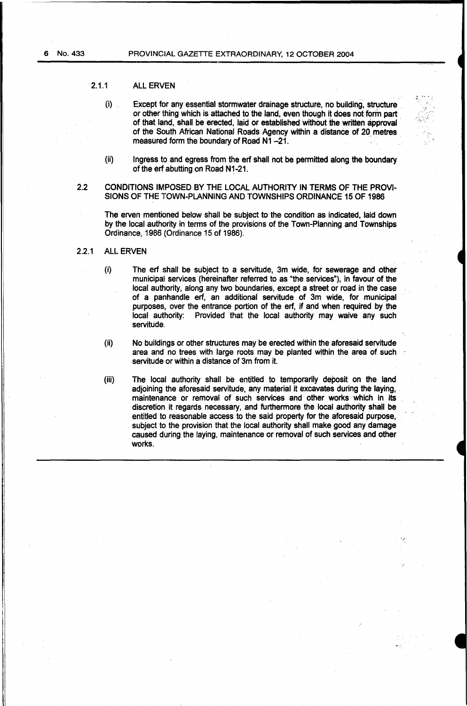### 2.1.1 ALL ERVEN

- (i) . Except for any essential stormwater drainage structure, no building, structure or other thing which is attached to the land, even though it does not form part of that land, shall be erected, laid or established without the written approval of the South African National Roads Agency within a distance of 20. metres measured form the boundary of Road  $N1 - 21$ .
- (ii) Ingress to and egress from the erf shall not be permitted along the boundary of the erf abutting on Road N1-21.
- 2.2 CONDITIONS IMPOSED BY THE LOCAL AUTHORITY IN TERMS OF THE PROVI-SIONS OF THE TOWN-PLANNING AND TOWNSHIPS ORDINANCE 15 OF 1986

The erven mentioned below shall be subject to the condition as indicated, laid down by the local authority in terms of the provisions of the Town-Planning and Townships Ordinance, 1986 (Ordinance 15 of 1986).

### 2.2.1 ALL ERVEN

- (i) The erf shall be subject to a servitude, 3m wide, for sewerage and other municipal services (hereinafter referred to as "the services"), in favour of the local authority, along any two boundaries, except a street or road in the case of a panhandle erf, an additional servitude of 3m wide, for municipal purposes, over the entrance portion of the erf, if and when required by the local authority: Provided that the local authority may waive any such servitude.
- (ii) No buildings or other structures may be erected within the aforesaid servitude area and no trees with large roots may be planted within the area of such servitude or within a distance of 3m from it.
- (iii) The local authority shall be entitled to temporarily deposit on the land adjoining the aforesaid servitude, any material it excavates during the laying, maintenance or removal of such services and other works which in its discretion it regards necessary, and furthermore the local authority shall be entitled to reasonable access to the said property for the aforesaid purpose, subject to the provision that the local authority shall make good any damage caused during the laying, maintenance or removal of such services and other works.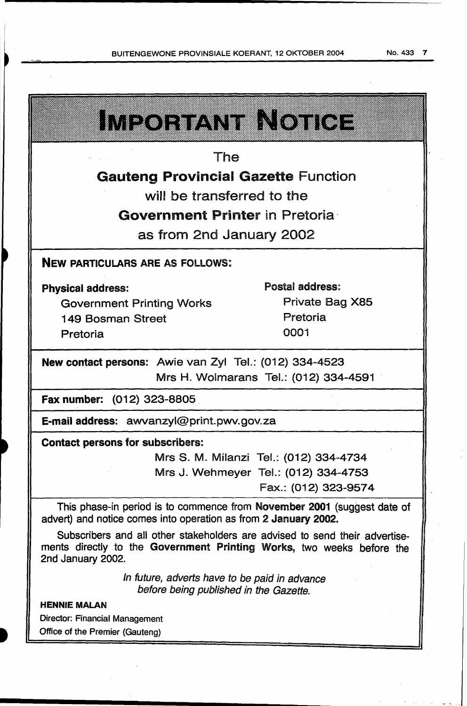| I METOLIKA I ELIKOLOGIA                                                                                                                       |                                                                             |                                        |                        |
|-----------------------------------------------------------------------------------------------------------------------------------------------|-----------------------------------------------------------------------------|----------------------------------------|------------------------|
|                                                                                                                                               |                                                                             |                                        |                        |
| The<br>せいぶつ                                                                                                                                   |                                                                             |                                        |                        |
| <b>Gauteng Provincial Gazette Function</b><br>will be transferred to the<br><b>Government Printer in Pretoria</b><br>as from 2nd January 2002 |                                                                             |                                        |                        |
|                                                                                                                                               |                                                                             | <b>NEW PARTICULARS ARE AS FOLLOWS:</b> |                        |
|                                                                                                                                               |                                                                             | <b>Physical address:</b>               | <b>Postal address:</b> |
|                                                                                                                                               |                                                                             | <b>Government Printing Works</b>       | Private Bag X85        |
| 149 Bosman Street                                                                                                                             | Pretoria                                                                    |                                        |                        |
| Pretoria                                                                                                                                      | 0001                                                                        |                                        |                        |
| New contact persons: Awie van Zyl Tel.: (012) 334-4523                                                                                        |                                                                             |                                        |                        |
|                                                                                                                                               | Mrs H. Wolmarans Tel.: (012) 334-4591                                       |                                        |                        |
| <b>Fax number:</b> (012) 323-8805                                                                                                             |                                                                             |                                        |                        |
| E-mail address: awvanzyl@print.pwv.gov.za                                                                                                     |                                                                             |                                        |                        |
| <b>Contact persons for subscribers:</b>                                                                                                       |                                                                             |                                        |                        |
|                                                                                                                                               | Mrs S. M. Milanzi Tel.: (012) 334-4734                                      |                                        |                        |
|                                                                                                                                               | Mrs J. Wehmeyer Tel.: (012) 334-4753                                        |                                        |                        |
|                                                                                                                                               | Fax.: (012) 323-9574                                                        |                                        |                        |
| advert) and notice comes into operation as from 2 January 2002.                                                                               | This phase-in period is to commence from November 2001 (suggest date of     |                                        |                        |
| ments directly to the Government Printing Works, two weeks before the<br>2nd January 2002.                                                    | Subscribers and all other stakeholders are advised to send their advertise- |                                        |                        |
| In future, adverts have to be paid in advance<br>before being published in the Gazette.                                                       |                                                                             |                                        |                        |

# HENNIE MALAN

Director: Financial Management Office of the Premier (Gauteng)